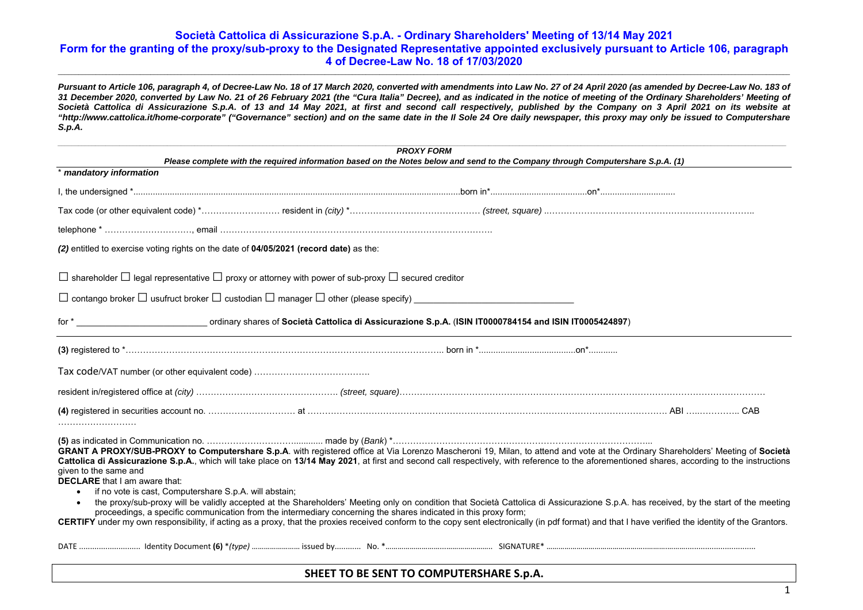\_\_\_\_\_\_\_\_\_\_\_\_\_\_\_\_\_\_\_\_\_\_\_\_\_\_\_\_\_\_\_\_\_\_\_\_\_\_\_\_\_\_\_\_\_\_\_\_\_\_\_\_\_\_\_\_\_\_\_\_\_\_\_\_\_\_\_\_\_\_\_\_\_\_\_\_\_\_\_\_\_\_\_\_\_\_\_\_\_\_\_\_\_\_\_\_\_\_\_\_\_\_\_\_\_\_\_\_\_\_\_\_\_\_\_\_\_\_\_\_\_\_\_\_\_\_\_\_\_\_\_\_\_\_\_\_\_\_\_\_\_\_\_\_\_\_\_\_\_\_\_\_\_\_\_\_\_\_\_\_\_\_\_\_\_\_\_\_\_\_\_\_\_\_\_\_\_\_\_\_\_\_\_\_\_\_\_\_\_\_\_\_\_\_\_\_\_\_\_\_\_\_\_\_\_\_\_\_\_\_\_\_\_\_

*Pursuant to Article 106, paragraph 4, of Decree-Law No. 18 of 17 March 2020, converted with amendments into Law No. 27 of 24 April 2020 (as amended by Decree-Law No. 183 of 31 December 2020, converted by Law No. 21 of 26 February 2021 (the "Cura Italia" Decree), and as indicated in the notice of meeting of the Ordinary Shareholders' Meeting of*  Società Cattolica di Assicurazione S.p.A. of 13 and 14 May 2021, at first and second call respectively, published by the Company on 3 April 2021 on its website at *"http://www.cattolica.it/home-corporate" ("Governance" section) and on the same date in the Il Sole 24 Ore daily newspaper, this proxy may only be issued to Computershare S.p.A.* 

| <b>PROXY FORM</b><br>Please complete with the required information based on the Notes below and send to the Company through Computershare S.p.A. (1)                                                                                                                                                                                                                                                                                                                                                                                                                                                                                                                                                                                                                                                                                                                                                                                                                                                                                       |  |  |  |  |  |
|--------------------------------------------------------------------------------------------------------------------------------------------------------------------------------------------------------------------------------------------------------------------------------------------------------------------------------------------------------------------------------------------------------------------------------------------------------------------------------------------------------------------------------------------------------------------------------------------------------------------------------------------------------------------------------------------------------------------------------------------------------------------------------------------------------------------------------------------------------------------------------------------------------------------------------------------------------------------------------------------------------------------------------------------|--|--|--|--|--|
| * mandatory information                                                                                                                                                                                                                                                                                                                                                                                                                                                                                                                                                                                                                                                                                                                                                                                                                                                                                                                                                                                                                    |  |  |  |  |  |
|                                                                                                                                                                                                                                                                                                                                                                                                                                                                                                                                                                                                                                                                                                                                                                                                                                                                                                                                                                                                                                            |  |  |  |  |  |
|                                                                                                                                                                                                                                                                                                                                                                                                                                                                                                                                                                                                                                                                                                                                                                                                                                                                                                                                                                                                                                            |  |  |  |  |  |
|                                                                                                                                                                                                                                                                                                                                                                                                                                                                                                                                                                                                                                                                                                                                                                                                                                                                                                                                                                                                                                            |  |  |  |  |  |
| (2) entitled to exercise voting rights on the date of 04/05/2021 (record date) as the:                                                                                                                                                                                                                                                                                                                                                                                                                                                                                                                                                                                                                                                                                                                                                                                                                                                                                                                                                     |  |  |  |  |  |
| $\Box$ shareholder $\Box$ legal representative $\Box$ proxy or attorney with power of sub-proxy $\Box$ secured creditor                                                                                                                                                                                                                                                                                                                                                                                                                                                                                                                                                                                                                                                                                                                                                                                                                                                                                                                    |  |  |  |  |  |
|                                                                                                                                                                                                                                                                                                                                                                                                                                                                                                                                                                                                                                                                                                                                                                                                                                                                                                                                                                                                                                            |  |  |  |  |  |
|                                                                                                                                                                                                                                                                                                                                                                                                                                                                                                                                                                                                                                                                                                                                                                                                                                                                                                                                                                                                                                            |  |  |  |  |  |
|                                                                                                                                                                                                                                                                                                                                                                                                                                                                                                                                                                                                                                                                                                                                                                                                                                                                                                                                                                                                                                            |  |  |  |  |  |
|                                                                                                                                                                                                                                                                                                                                                                                                                                                                                                                                                                                                                                                                                                                                                                                                                                                                                                                                                                                                                                            |  |  |  |  |  |
|                                                                                                                                                                                                                                                                                                                                                                                                                                                                                                                                                                                                                                                                                                                                                                                                                                                                                                                                                                                                                                            |  |  |  |  |  |
|                                                                                                                                                                                                                                                                                                                                                                                                                                                                                                                                                                                                                                                                                                                                                                                                                                                                                                                                                                                                                                            |  |  |  |  |  |
| GRANT A PROXY/SUB-PROXY to Computershare S.p.A. with registered office at Via Lorenzo Mascheroni 19, Milan, to attend and vote at the Ordinary Shareholders' Meeting of Società<br>Cattolica di Assicurazione S.p.A., which will take place on 13/14 May 2021, at first and second call respectively, with reference to the aforementioned shares, according to the instructions<br>given to the same and<br><b>DECLARE</b> that I am aware that:<br>if no vote is cast, Computershare S.p.A. will abstain;<br>the proxy/sub-proxy will be validly accepted at the Shareholders' Meeting only on condition that Società Cattolica di Assicurazione S.p.A. has received, by the start of the meeting<br>$\bullet$<br>proceedings, a specific communication from the intermediary concerning the shares indicated in this proxy form;<br>CERTIFY under my own responsibility, if acting as a proxy, that the proxies received conform to the copy sent electronically (in pdf format) and that I have verified the identity of the Grantors. |  |  |  |  |  |
|                                                                                                                                                                                                                                                                                                                                                                                                                                                                                                                                                                                                                                                                                                                                                                                                                                                                                                                                                                                                                                            |  |  |  |  |  |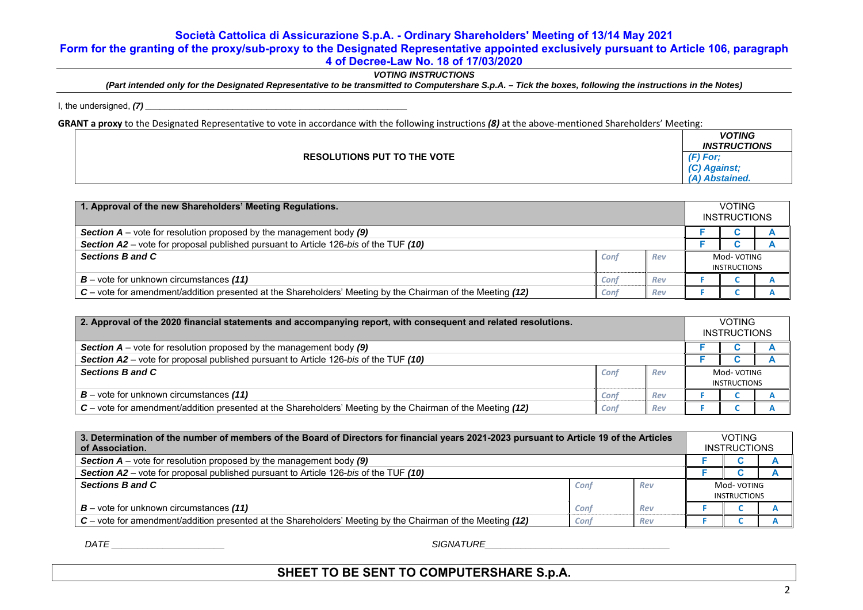## **Società Cattolica di Assicurazione S.p.A. - Ordinary Shareholders' Meeting of 13/14 May 2021**

**Form for the granting of the proxy/sub-proxy to the Designated Representative appointed exclusively pursuant to Article 106, paragraph** 

### **4 of Decree-Law No. 18 of 17/03/2020**

*VOTING INSTRUCTIONS* 

*(Part intended only for the Designated Representative to be transmitted to Computershare S.p.A. – Tick the boxes, following the instructions in the Notes)* 

I, the undersigned,  $(7)$ 

GRANT a proxy to the Designated Representative to vote in accordance with the following instructions (8) at the above-mentioned Shareholders' Meeting:

|                                    | <b>VOTING</b><br><b>INSTRUCTIONS</b> |
|------------------------------------|--------------------------------------|
| <b>RESOLUTIONS PUT TO THE VOTE</b> | $(F)$ For:<br>Against:               |
|                                    | (A) Abstained.                       |

| 1. Approval of the new Shareholders' Meeting Regulations.                                                  |      |     |                     | <b>VOTING</b><br><b>INSTRUCTIONS</b> |  |  |
|------------------------------------------------------------------------------------------------------------|------|-----|---------------------|--------------------------------------|--|--|
| <b>Section A</b> – vote for resolution proposed by the management body $(9)$                               |      |     |                     |                                      |  |  |
| Section A2 – vote for proposal published pursuant to Article 126-bis of the TUF (10)                       |      |     |                     |                                      |  |  |
| Sections B and C                                                                                           | Conf | Rev | Mod-VOTING          |                                      |  |  |
|                                                                                                            |      |     | <b>INSTRUCTIONS</b> |                                      |  |  |
| $B$ – vote for unknown circumstances (11)                                                                  | Conf | Rev |                     |                                      |  |  |
| C – vote for amendment/addition presented at the Shareholders' Meeting by the Chairman of the Meeting (12) | Conf | Rev |                     |                                      |  |  |

| 2. Approval of the 2020 financial statements and accompanying report, with consequent and related resolutions. |      |     |                     | <b>VOTING</b><br><b>INSTRUCTIONS</b> |  |
|----------------------------------------------------------------------------------------------------------------|------|-----|---------------------|--------------------------------------|--|
| <b>Section A</b> – vote for resolution proposed by the management body $(9)$                                   |      |     |                     |                                      |  |
| Section A2 – vote for proposal published pursuant to Article 126-bis of the TUF (10)                           |      |     |                     |                                      |  |
| Sections B and C                                                                                               | Conf | Rev | Mod-VOTING          |                                      |  |
|                                                                                                                |      |     | <b>INSTRUCTIONS</b> |                                      |  |
| $B$ – vote for unknown circumstances (11)                                                                      | Conf | Rev |                     |                                      |  |
| C – vote for amendment/addition presented at the Shareholders' Meeting by the Chairman of the Meeting (12)     | Conf | Rev |                     |                                      |  |

| 3. Determination of the number of members of the Board of Directors for financial years 2021-2023 pursuant to Article 19 of the Articles<br>of Association. |      |     |                                   | <b>VOTING</b><br><b>INSTRUCTIONS</b> |  |  |  |
|-------------------------------------------------------------------------------------------------------------------------------------------------------------|------|-----|-----------------------------------|--------------------------------------|--|--|--|
| <b>Section A</b> – vote for resolution proposed by the management body $(9)$                                                                                |      |     |                                   |                                      |  |  |  |
| <b>Section A2</b> – vote for proposal published pursuant to Article 126-bis of the TUF (10)                                                                 |      |     |                                   |                                      |  |  |  |
| Sections B and C                                                                                                                                            | Conf | Rev | Mod-VOTING<br><b>INSTRUCTIONS</b> |                                      |  |  |  |
| $B$ – vote for unknown circumstances (11)                                                                                                                   | Conf | Rev |                                   |                                      |  |  |  |
| C – vote for amendment/addition presented at the Shareholders' Meeting by the Chairman of the Meeting (12)                                                  | Conf | Rev |                                   |                                      |  |  |  |

*DATE \_\_\_\_\_\_\_\_\_\_\_\_\_\_\_\_\_\_\_\_\_\_ SIGNATURE\_\_\_\_\_\_\_\_\_\_\_\_\_\_\_\_\_\_\_\_\_\_\_\_\_\_\_\_\_\_\_\_\_\_\_\_*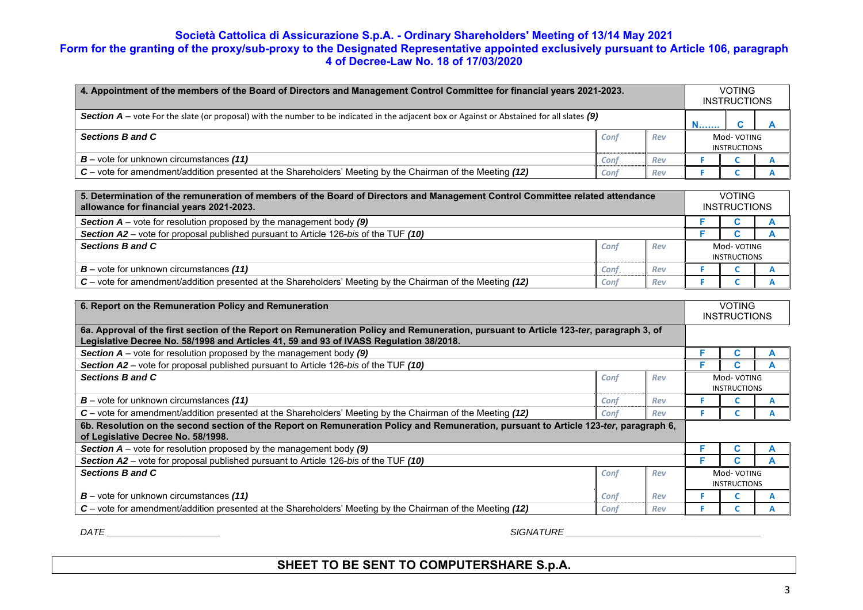| 4. Appointment of the members of the Board of Directors and Management Control Committee for financial years 2021-2023.                            |      |     |                                    | <b>VOTING</b><br><b>INSTRUCTIONS</b> |  |  |
|----------------------------------------------------------------------------------------------------------------------------------------------------|------|-----|------------------------------------|--------------------------------------|--|--|
| <b>Section A</b> – vote For the slate (or proposal) with the number to be indicated in the adjacent box or Against or Abstained for all slates (9) |      |     |                                    |                                      |  |  |
| Sections B and C                                                                                                                                   | Conf | Rev | Mod- VOTING<br><b>INSTRUCTIONS</b> |                                      |  |  |
| $B$ – vote for unknown circumstances (11)                                                                                                          | Conf | Rev |                                    |                                      |  |  |
| C – vote for amendment/addition presented at the Shareholders' Meeting by the Chairman of the Meeting (12)                                         | Conf | Rev |                                    |                                      |  |  |

| 5. Determination of the remuneration of members of the Board of Directors and Management Control Committee related attendance<br>allowance for financial years 2021-2023. |      |     |                     | <b>VOTING</b><br><b>INSTRUCTIONS</b> |  |  |
|---------------------------------------------------------------------------------------------------------------------------------------------------------------------------|------|-----|---------------------|--------------------------------------|--|--|
| <b>Section A</b> – vote for resolution proposed by the management body $(9)$                                                                                              |      |     |                     |                                      |  |  |
| Section A2 – vote for proposal published pursuant to Article 126-bis of the TUF (10)                                                                                      |      |     |                     |                                      |  |  |
| Sections B and C                                                                                                                                                          | Conf | Rev |                     | Mod-VOTING                           |  |  |
|                                                                                                                                                                           |      |     | <b>INSTRUCTIONS</b> |                                      |  |  |
| $B$ – vote for unknown circumstances (11)                                                                                                                                 | Conf | Rev |                     |                                      |  |  |
| C – vote for amendment/addition presented at the Shareholders' Meeting by the Chairman of the Meeting (12)                                                                | Conf | Rev |                     |                                      |  |  |

| 6. Report on the Remuneration Policy and Remuneration                                                                                                                                                                           |      |     |                                    | <b>VOTING</b><br><b>INSTRUCTIONS</b> |  |  |
|---------------------------------------------------------------------------------------------------------------------------------------------------------------------------------------------------------------------------------|------|-----|------------------------------------|--------------------------------------|--|--|
| 6a. Approval of the first section of the Report on Remuneration Policy and Remuneration, pursuant to Article 123-ter, paragraph 3, of<br>Legislative Decree No. 58/1998 and Articles 41, 59 and 93 of IVASS Regulation 38/2018. |      |     |                                    |                                      |  |  |
| <b>Section A</b> – vote for resolution proposed by the management body $(9)$                                                                                                                                                    |      |     |                                    |                                      |  |  |
| <b>Section A2</b> – vote for proposal published pursuant to Article 126-bis of the TUF (10)                                                                                                                                     |      |     |                                    |                                      |  |  |
| Sections B and C                                                                                                                                                                                                                | Conf | Rev |                                    | Mod- VOTING<br><b>INSTRUCTIONS</b>   |  |  |
| $B$ – vote for unknown circumstances (11)                                                                                                                                                                                       | Conf | Rev |                                    |                                      |  |  |
| $C$ – vote for amendment/addition presented at the Shareholders' Meeting by the Chairman of the Meeting (12)                                                                                                                    | Conf | Rev |                                    |                                      |  |  |
| 6b. Resolution on the second section of the Report on Remuneration Policy and Remuneration, pursuant to Article 123-ter, paragraph 6,<br>of Legislative Decree No. 58/1998.                                                     |      |     |                                    |                                      |  |  |
| <b>Section A</b> – vote for resolution proposed by the management body $(9)$                                                                                                                                                    |      |     |                                    |                                      |  |  |
| <b>Section A2</b> – vote for proposal published pursuant to Article 126-bis of the TUF (10)                                                                                                                                     |      |     |                                    |                                      |  |  |
| Sections B and C                                                                                                                                                                                                                | Conf | Rev | Mod- VOTING<br><b>INSTRUCTIONS</b> |                                      |  |  |
| $B$ – vote for unknown circumstances (11)                                                                                                                                                                                       | Conf | Rev |                                    |                                      |  |  |
| C – vote for amendment/addition presented at the Shareholders' Meeting by the Chairman of the Meeting (12)                                                                                                                      | Conf | Rev |                                    |                                      |  |  |

 $\mathsf{DATE}$  gradient and the set of the set of the set of the set of the set of the set of the set of the set of the set of the set of the set of the set of the set of the set of the set of the set of the set of the set of t

SHEET TO BE SENT TO COMPUTERSHARE S.p.A. *COMPUTERSHARE S.p.A.*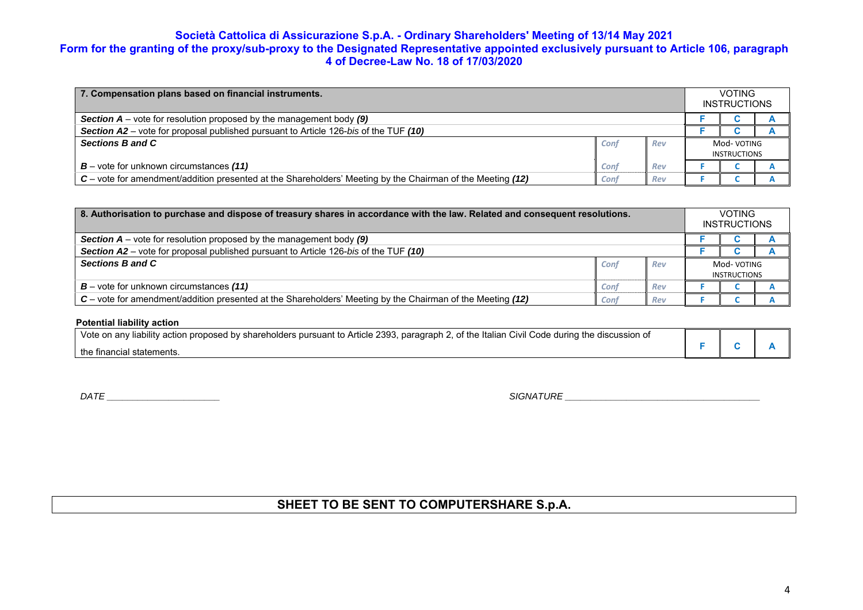| 7. Compensation plans based on financial instruments.                                                      |      |     |                     | <b>VOTING</b><br><b>INSTRUCTIONS</b> |  |  |
|------------------------------------------------------------------------------------------------------------|------|-----|---------------------|--------------------------------------|--|--|
| <b>Section A</b> – vote for resolution proposed by the management body $(9)$                               |      |     |                     |                                      |  |  |
| Section A2 – vote for proposal published pursuant to Article 126-bis of the TUF (10)                       |      |     |                     |                                      |  |  |
| Sections B and C                                                                                           | Conf | Rev | Mod-VOTING          |                                      |  |  |
|                                                                                                            |      |     | <b>INSTRUCTIONS</b> |                                      |  |  |
| $B$ – vote for unknown circumstances (11)                                                                  | Conf | Rev |                     |                                      |  |  |
| C – vote for amendment/addition presented at the Shareholders' Meeting by the Chairman of the Meeting (12) | Conf | Rev |                     |                                      |  |  |

| 8. Authorisation to purchase and dispose of treasury shares in accordance with the law. Related and consequent resolutions. |      |     |                                    | <b>VOTING</b><br><b>INSTRUCTIONS</b> |  |
|-----------------------------------------------------------------------------------------------------------------------------|------|-----|------------------------------------|--------------------------------------|--|
| <b>Section A</b> – vote for resolution proposed by the management body (9)                                                  |      |     |                                    |                                      |  |
| Section A2 – vote for proposal published pursuant to Article 126-bis of the TUF (10)                                        |      |     |                                    |                                      |  |
| Sections B and C                                                                                                            | Conf | Rev | Mod- VOTING<br><b>INSTRUCTIONS</b> |                                      |  |
| $B$ – vote for unknown circumstances (11)                                                                                   | Conf | Rev |                                    |                                      |  |
| C – vote for amendment/addition presented at the Shareholders' Meeting by the Chairman of the Meeting (12)                  | Conf | Rev |                                    |                                      |  |

### **Potential liability action**

| Vote on any liability action proposed by shareholders pursuant to Article 2393, paragraph 2, of the Italian Civil Code during the discussion of |  |  |
|-------------------------------------------------------------------------------------------------------------------------------------------------|--|--|
| the financial statements.                                                                                                                       |  |  |

 $\mathsf{DATE} \_\_\_\_\_\_\_\_\_$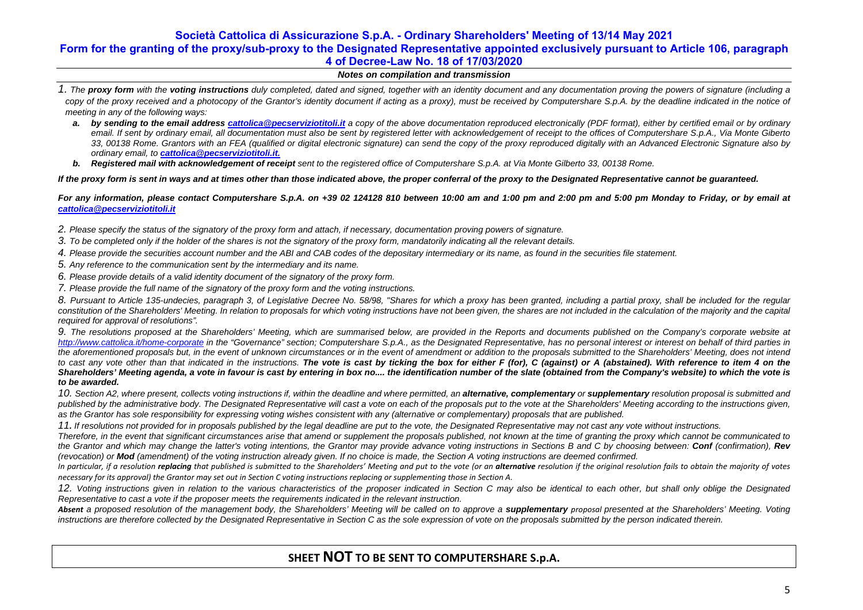### *Notes on compilation and transmission*

- *1. The proxy form with the voting instructions duly completed, dated and signed, together with an identity document and any documentation proving the powers of signature (including a*  copy of the proxy received and a photocopy of the Grantor's identity document if acting as a proxy), must be received by Computershare S.p.A. by the deadline indicated in the notice of *meeting in any of the following ways:* 
	- **a.** by sending to the email address cattolica@pecserviziotitoli.it a copy of the above documentation reproduced electronically (PDF format), either by certified email or by ordinary email. If sent by ordinary email, all documentation must also be sent by registered letter with acknowledgement of receipt to the offices of Computershare S.p.A., Via Monte Giberto *33, 00138 Rome. Grantors with an FEA (qualified or digital electronic signature) can send the copy of the proxy reproduced digitally with an Advanced Electronic Signature also by ordinary email, to cattolica@pecserviziotitoli.it.*
	- **b.** Registered mail with acknowledgement of receipt sent to the registered office of Computershare S.p.A. at Via Monte Gilberto 33, 00138 Rome.

*If the proxy form is sent in ways and at times other than those indicated above, the proper conferral of the proxy to the Designated Representative cannot be guaranteed.* 

*For any information, please contact Computershare S.p.A. on +39 02 124128 810 between 10:00 am and 1:00 pm and 2:00 pm and 5:00 pm Monday to Friday, or by email at cattolica@pecserviziotitoli.it*

*2. Please specify the status of the signatory of the proxy form and attach, if necessary, documentation proving powers of signature.* 

- *3. To be completed only if the holder of the shares is not the signatory of the proxy form, mandatorily indicating all the relevant details.*
- *4. Please provide the securities account number and the ABI and CAB codes of the depositary intermediary or its name, as found in the securities file statement.*
- *5. Any reference to the communication sent by the intermediary and its name.*
- *6. Please provide details of a valid identity document of the signatory of the proxy form.*
- *7. Please provide the full name of the signatory of the proxy form and the voting instructions.*

*8. Pursuant to Article 135-undecies, paragraph 3, of Legislative Decree No. 58/98, "Shares for which a proxy has been granted, including a partial proxy, shall be included for the regular constitution of the Shareholders' Meeting. In relation to proposals for which voting instructions have not been given, the shares are not included in the calculation of the majority and the capital required for approval of resolutions".* 

*9. The resolutions proposed at the Shareholders' Meeting, which are summarised below, are provided in the Reports and documents published on the Company's corporate website at http://www.cattolica.it/home-corporate in the "Governance" section; Computershare S.p.A., as the Designated Representative, has no personal interest or interest on behalf of third parties in the aforementioned proposals but, in the event of unknown circumstances or in the event of amendment or addition to the proposals submitted to the Shareholders' Meeting, does not intend*  to cast any vote other than that indicated in the instructions. The vote is cast by ticking the box for either F (for), C (against) or A (abstained). With reference to item 4 on the *Shareholders' Meeting agenda, a vote in favour is cast by entering in box no.... the identification number of the slate (obtained from the Company's website) to which the vote is to be awarded.* 

10. Section A2, where present, collects voting instructions if, within the deadline and where permitted, an **alternative, complementary** or **supplementary** resolution proposal is submitted and published by the administrative body. The Designated Representative will cast a vote on each of the proposals put to the vote at the Shareholders' Meeting according to the instructions given, as the Grantor has sole responsibility for expressing voting wishes consistent with any (alternative or complementary) proposals that are published.

*11. If resolutions not provided for in proposals published by the legal deadline are put to the vote, the Designated Representative may not cast any vote without instructions.* 

*Therefore, in the event that significant circumstances arise that amend or supplement the proposals published, not known at the time of granting the proxy which cannot be communicated to the Grantor and which may change the latter's voting intentions, the Grantor may provide advance voting instructions in Sections B and C by choosing between: Conf (confirmation), Rev (revocation) or Mod (amendment) of the voting instruction already given. If no choice is made, the Section A voting instructions are deemed confirmed.* 

In particular, if a resolution replacing that published is submitted to the Shareholders' Meeting and put to the vote (or an alternative resolution if the original resolution fails to obtain the majority of votes *necessary for its approval) the Grantor may set out in Section C voting instructions replacing or supplementing those in Section A.*

12. Voting instructions given in relation to the various characteristics of the proposer indicated in Section C may also be identical to each other, but shall only oblige the Designated *Representative to cast a vote if the proposer meets the requirements indicated in the relevant instruction.* 

Absent a proposed resolution of the management body, the Shareholders' Meeting will be called on to approve a **supplementary** proposal presented at the Shareholders' Meeting. Voting *instructions are therefore collected by the Designated Representative in Section C as the sole expression of vote on the proposals submitted by the person indicated therein.*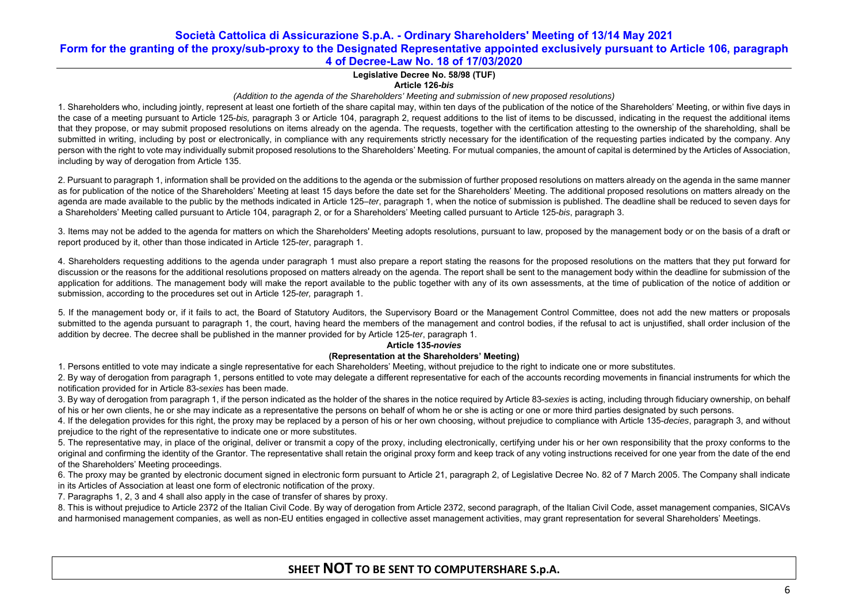## **Legislative Decree No. 58/98 (TUF)**

### **Article 126-***bis*

### *(Addition to the agenda of the Shareholders' Meeting and submission of new proposed resolutions)*

1. Shareholders who, including jointly, represent at least one fortieth of the share capital may, within ten days of the publication of the notice of the Shareholders' Meeting, or within five days in the case of a meeting pursuant to Article 125-*bis,* paragraph 3 or Article 104, paragraph 2, request additions to the list of items to be discussed, indicating in the request the additional items that they propose, or may submit proposed resolutions on items already on the agenda. The requests, together with the certification attesting to the ownership of the shareholding, shall be submitted in writing, including by post or electronically, in compliance with any requirements strictly necessary for the identification of the requesting parties indicated by the company. Any person with the right to vote may individually submit proposed resolutions to the Shareholders' Meeting. For mutual companies, the amount of capital is determined by the Articles of Association, including by way of derogation from Article 135.

2. Pursuant to paragraph 1, information shall be provided on the additions to the agenda or the submission of further proposed resolutions on matters already on the agenda in the same manner as for publication of the notice of the Shareholders' Meeting at least 15 days before the date set for the Shareholders' Meeting. The additional proposed resolutions on matters already on the agenda are made available to the public by the methods indicated in Article 125–*ter*, paragraph 1, when the notice of submission is published. The deadline shall be reduced to seven days for a Shareholders' Meeting called pursuant to Article 104, paragraph 2, or for a Shareholders' Meeting called pursuant to Article 125-*bis*, paragraph 3.

3. Items may not be added to the agenda for matters on which the Shareholders' Meeting adopts resolutions, pursuant to law, proposed by the management body or on the basis of a draft or report produced by it, other than those indicated in Article 125-*ter*, paragraph 1.

4. Shareholders requesting additions to the agenda under paragraph 1 must also prepare a report stating the reasons for the proposed resolutions on the matters that they put forward for discussion or the reasons for the additional resolutions proposed on matters already on the agenda. The report shall be sent to the management body within the deadline for submission of the application for additions. The management body will make the report available to the public together with any of its own assessments, at the time of publication of the notice of addition or submission, according to the procedures set out in Article 125-*ter,* paragraph 1.

5. If the management body or, if it fails to act, the Board of Statutory Auditors, the Supervisory Board or the Management Control Committee, does not add the new matters or proposals submitted to the agenda pursuant to paragraph 1, the court, having heard the members of the management and control bodies, if the refusal to act is unjustified, shall order inclusion of the addition by decree. The decree shall be published in the manner provided for by Article 125-*ter*, paragraph 1.

#### **Article 135-***novies*

### **(Representation at the Shareholders' Meeting)**

1. Persons entitled to vote may indicate a single representative for each Shareholders' Meeting, without prejudice to the right to indicate one or more substitutes.

2. By way of derogation from paragraph 1, persons entitled to vote may delegate a different representative for each of the accounts recording movements in financial instruments for which the notification provided for in Article 83-*sexies* has been made.

3. By way of derogation from paragraph 1, if the person indicated as the holder of the shares in the notice required by Article 83-*sexies* is acting, including through fiduciary ownership, on behalf of his or her own clients, he or she may indicate as a representative the persons on behalf of whom he or she is acting or one or more third parties designated by such persons.

4. If the delegation provides for this right, the proxy may be replaced by a person of his or her own choosing, without prejudice to compliance with Article 135-*decies*, paragraph 3, and without prejudice to the right of the representative to indicate one or more substitutes.

5. The representative may, in place of the original, deliver or transmit a copy of the proxy, including electronically, certifying under his or her own responsibility that the proxy conforms to the original and confirming the identity of the Grantor. The representative shall retain the original proxy form and keep track of any voting instructions received for one year from the date of the end of the Shareholders' Meeting proceedings.

6. The proxy may be granted by electronic document signed in electronic form pursuant to Article 21, paragraph 2, of Legislative Decree No. 82 of 7 March 2005. The Company shall indicate in its Articles of Association at least one form of electronic notification of the proxy.

7. Paragraphs 1, 2, 3 and 4 shall also apply in the case of transfer of shares by proxy.

8. This is without prejudice to Article 2372 of the Italian Civil Code. By way of derogation from Article 2372, second paragraph, of the Italian Civil Code, asset management companies, SICAVs and harmonised management companies, as well as non-EU entities engaged in collective asset management activities, may grant representation for several Shareholders' Meetings.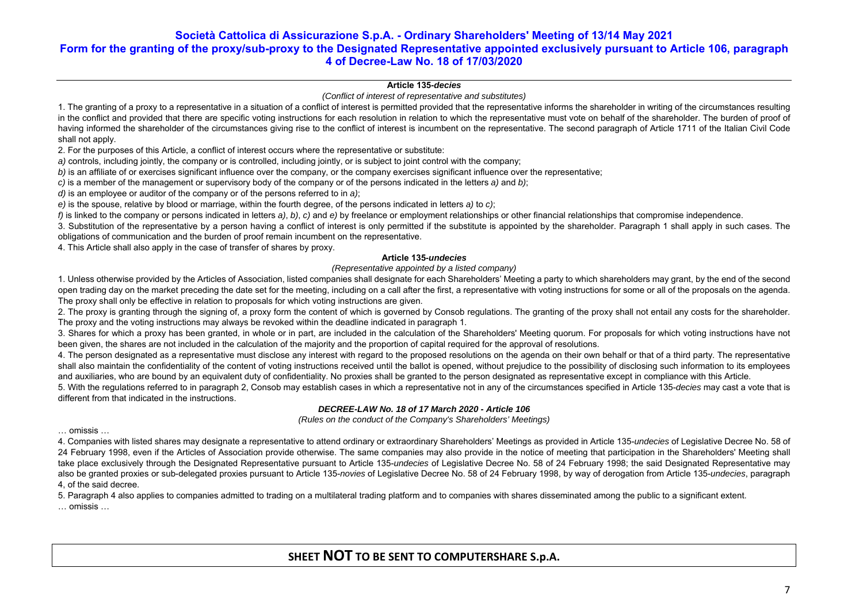### **Article 135***-decies*

### *(Conflict of interest of representative and substitutes)*

1. The granting of a proxy to a representative in a situation of a conflict of interest is permitted provided that the representative informs the shareholder in writing of the circumstances resulting in the conflict and provided that there are specific voting instructions for each resolution in relation to which the representative must vote on behalf of the shareholder. The burden of proof of having informed the shareholder of the circumstances giving rise to the conflict of interest is incumbent on the representative. The second paragraph of Article 1711 of the Italian Civil Code shall not apply.

2. For the purposes of this Article, a conflict of interest occurs where the representative or substitute:

*a)* controls, including jointly, the company or is controlled, including jointly, or is subject to joint control with the company;

*b*) is an affiliate of or exercises significant influence over the company, or the company exercises significant influence over the representative:

*c)* is a member of the management or supervisory body of the company or of the persons indicated in the letters *a)* and *b)*;

*d)* is an employee or auditor of the company or of the persons referred to in *a)*;

*e)* is the spouse, relative by blood or marriage, within the fourth degree, of the persons indicated in letters *a)* to *c)*;

*f)* is linked to the company or persons indicated in letters *a)*, *b)*, *c)* and *e)* by freelance or employment relationships or other financial relationships that compromise independence.

3. Substitution of the representative by a person having a conflict of interest is only permitted if the substitute is appointed by the shareholder. Paragraph 1 shall apply in such cases. The obligations of communication and the burden of proof remain incumbent on the representative.

4. This Article shall also apply in the case of transfer of shares by proxy.

### **Article 135***-undecies*

*(Representative appointed by a listed company)* 

1. Unless otherwise provided by the Articles of Association, listed companies shall designate for each Shareholders' Meeting a party to which shareholders may grant, by the end of the second open trading day on the market preceding the date set for the meeting, including on a call after the first, a representative with voting instructions for some or all of the proposals on the agenda. The proxy shall only be effective in relation to proposals for which voting instructions are given.

2. The proxy is granting through the signing of, a proxy form the content of which is governed by Consob regulations. The granting of the proxy shall not entail any costs for the shareholder. The proxy and the voting instructions may always be revoked within the deadline indicated in paragraph 1.

3. Shares for which a proxy has been granted, in whole or in part, are included in the calculation of the Shareholders' Meeting quorum. For proposals for which voting instructions have not been given, the shares are not included in the calculation of the majority and the proportion of capital required for the approval of resolutions.

4. The person designated as a representative must disclose any interest with regard to the proposed resolutions on the agenda on their own behalf or that of a third party. The representative shall also maintain the confidentiality of the content of voting instructions received until the ballot is opened, without prejudice to the possibility of disclosing such information to its employees and auxiliaries, who are bound by an equivalent duty of confidentiality. No proxies shall be granted to the person designated as representative except in compliance with this Article.

5. With the regulations referred to in paragraph 2, Consob may establish cases in which a representative not in any of the circumstances specified in Article 135-*decies* may cast a vote that is different from that indicated in the instructions.

### *DECREE-LAW No. 18 of 17 March 2020 - Article 106*

*(Rules on the conduct of the Company's Shareholders' Meetings)* 

… omissis …

4. Companies with listed shares may designate a representative to attend ordinary or extraordinary Shareholders' Meetings as provided in Article 135-*undecies* of Legislative Decree No. 58 of 24 February 1998, even if the Articles of Association provide otherwise. The same companies may also provide in the notice of meeting that participation in the Shareholders' Meeting shall take place exclusively through the Designated Representative pursuant to Article 135-*undecies* of Legislative Decree No. 58 of 24 February 1998; the said Designated Representative may also be granted proxies or sub-delegated proxies pursuant to Article 135-*novies* of Legislative Decree No. 58 of 24 February 1998, by way of derogation from Article 135-*undecies*, paragraph 4, of the said decree.

5. Paragraph 4 also applies to companies admitted to trading on a multilateral trading platform and to companies with shares disseminated among the public to a significant extent. … omissis …